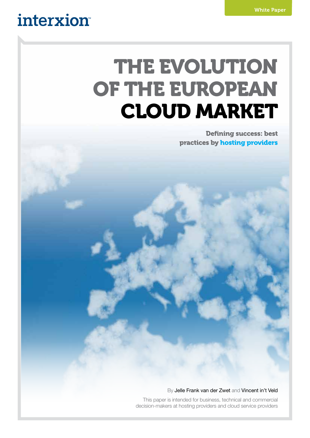## interxion

# THE EVOLUTION OF THE EUROPEAN CLOUD MARKET

Defining success: best practices by hosting providers

#### By Jelle Frank van der Zwet and Vincent in't Veld

This paper is intended for business, technical and commercial decision-makers at hosting providers and cloud service providers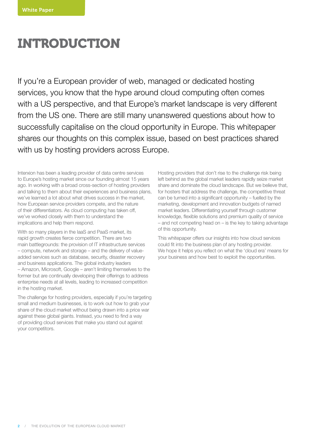### **INTRODUCTION**

If you're a European provider of web, managed or dedicated hosting services, you know that the hype around cloud computing often comes with a US perspective, and that Europe's market landscape is very different from the US one. There are still many unanswered questions about how to successfully capitalise on the cloud opportunity in Europe. This whitepaper shares our thoughts on this complex issue, based on best practices shared with us by hosting providers across Europe.

Interxion has been a leading provider of data centre services to Europe's hosting market since our founding almost 15 years ago. In working with a broad cross-section of hosting providers and talking to them about their experiences and business plans, we've learned a lot about what drives success in the market, how European service providers compete, and the nature of their differentiators. As cloud computing has taken off, we've worked closely with them to understand the implications and help them respond.

With so many players in the IaaS and PaaS market, its rapid growth creates fierce competition. There are two main battlegrounds: the provision of IT infrastructure services – compute, network and storage – and the delivery of valueadded services such as database, security, disaster recovery and business applications. The global industry leaders – Amazon, Microsoft, Google – aren't limiting themselves to the former but are continually developing their offerings to address enterprise needs at all levels, leading to increased competition in the hosting market.

The challenge for hosting providers, especially if you're targeting small and medium businesses, is to work out how to grab your share of the cloud market without being drawn into a price war against these global giants. Instead, you need to find a way of providing cloud services that make you stand out against your competitors.

Hosting providers that don't rise to the challenge risk being left behind as the global market leaders rapidly seize market share and dominate the cloud landscape. But we believe that, for hosters that address the challenge, the competitive threat can be turned into a significant opportunity – fuelled by the marketing, development and innovation budgets of named market leaders. Differentiating yourself through customer knowledge, flexible solutions and premium quality of service – and not competing head on – is the key to taking advantage of this opportunity.

This whitepaper offers our insights into how cloud services could fit into the business plan of any hosting provider. We hope it helps you reflect on what the 'cloud era' means for your business and how best to exploit the opportunities.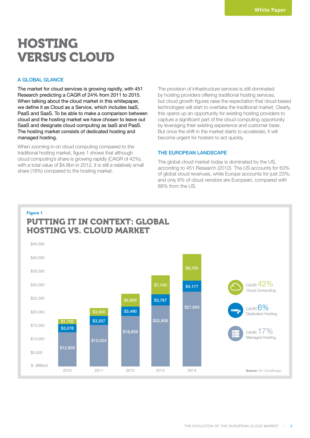### **HOSTING** VERSUS CLOUD

#### A GLOBAL GLANCE

The market for cloud services is growing rapidly, with 451 Research predicting a CAGR of 24% from 2011 to 2015. When talking about the cloud market in this whitepaper, we define it as Cloud as a Service, which includes IaaS, PaaS and SaaS. To be able to make a comparison between cloud and the hosting market we have chosen to leave out SaaS and designate cloud computing as IaaS and PaaS. The hosting market consists of dedicated hosting and managed hosting.

When zooming in on cloud computing compared to the traditional hosting market, figure 1 shows that although cloud computing's share is growing rapidly (CAGR of 42%), with a total value of \$4.8bn in 2012, it is still a relatively small share (18%) compared to the hosting market.

The provision of infrastructure services is still dominated by hosting providers offering traditional hosting services, but cloud growth figures raise the expectation that cloud-based technologies will start to overtake the traditional market. Clearly, this opens up an opportunity for existing hosting providers to capture a significant part of the cloud computing opportunity by leveraging their existing experience and customer base. But once the shift in the market starts to accelerate, it will become urgent for hosters to act quickly.

#### THE EUROPEAN LANDSCAPE

The global cloud market today is dominated by the US, according to 451 Research (2012). The US accounts for 63% of global cloud revenues, while Europe accounts for just 23%; and only 6% of cloud vendors are European, compared with 88% from the US.

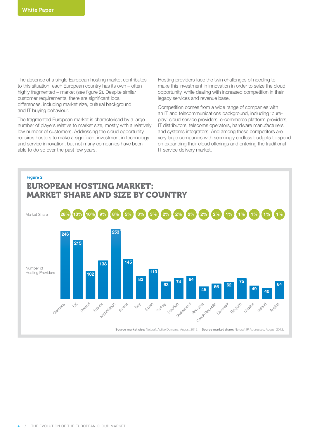The absence of a single European hosting market contributes to this situation: each European country has its own – often highly fragmented – market (see figure 2). Despite similar customer requirements, there are significant local differences, including market size, cultural background and IT buying behaviour.

The fragmented European market is characterised by a large number of players relative to market size, mostly with a relatively low number of customers. Addressing the cloud opportunity requires hosters to make a significant investment in technology and service innovation, but not many companies have been able to do so over the past few years.

Hosting providers face the twin challenges of needing to make this investment in innovation in order to seize the cloud opportunity, while dealing with increased competition in their legacy services and revenue base.

Competition comes from a wide range of companies with an IT and telecommunications background, including 'pureplay' cloud service providers, e-commerce platform providers, IT distributors, telecoms operators, hardware manufacturers and systems integrators. And among these competitors are very large companies with seemingly endless budgets to spend on expanding their cloud offerings and entering the traditional IT service delivery market.

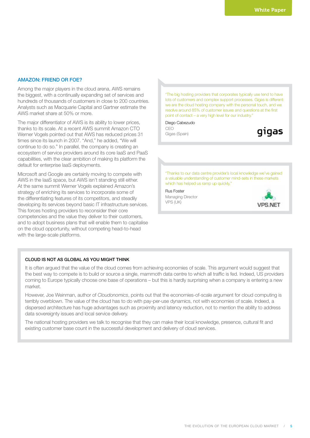#### AMAZON: FRIEND OR FOE?

Among the major players in the cloud arena, AWS remains the biggest, with a continually expanding set of services and hundreds of thousands of customers in close to 200 countries. Analysts such as Macquarie Capital and Gartner estimate the AWS market share at 50% or more.

The major differentiator of AWS is its ability to lower prices, thanks to its scale. At a recent AWS summit Amazon CTO Werner Vogels pointed out that AWS has reduced prices 31 times since its launch in 2007. "And," he added, "We will continue to do so." In parallel, the company is creating an ecosystem of service providers around its core IaaS and PaaS capabilities, with the clear ambition of making its platform the default for enterprise IaaS deployments.

Microsoft and Google are certainly moving to compete with AWS in the IaaS space, but AWS isn't standing still either. At the same summit Werner Vogels explained Amazon's strategy of enriching its services to incorporate some of the differentiating features of its competitors, and steadily developing its services beyond basic IT infrastructure services. This forces hosting providers to reconsider their core competencies and the value they deliver to their customers, and to adopt business plans that will enable them to capitalise on the cloud opportunity, without competing head-to-head with the large-scale platforms.

"The big hosting providers that corporates typically use tend to have lots of customers and complex support processes. Gigas is different: we are the cloud hosting company with the personal touch, and we resolve around 85% of customer issues and questions at the first point of contact – a very high level for our industry."

Diego Cabezudo CEO

Gigas (Spain)



"Thanks to our data centre provider's local knowledge we've gained a valuable understanding of customer mind-sets in these markets which has helped us ramp up quickly,"

#### Rus Foster

Managing Director VPS (UK)



#### CLOUD IS NOT AS GLOBAL AS YOU MIGHT THINK

It is often argued that the value of the cloud comes from achieving economies of scale. This argument would suggest that the best way to compete is to build or source a single, mammoth data centre to which all traffic is fed. Indeed, US providers coming to Europe typically choose one base of operations – but this is hardly surprising when a company is entering a new market.

However, Joe Weinman, author of *Cloudonomics*, points out that the economies-of-scale argument for cloud computing is terribly overblown. The value of the cloud has to do with pay-per-use dynamics, not with economies of scale. Indeed, a dispersed architecture has huge advantages such as proximity and latency reduction, not to mention the ability to address data sovereignty issues and local service delivery.

The national hosting providers we talk to recognise that they can make their local knowledge, presence, cultural fit and existing customer base count in the successful development and delivery of cloud services.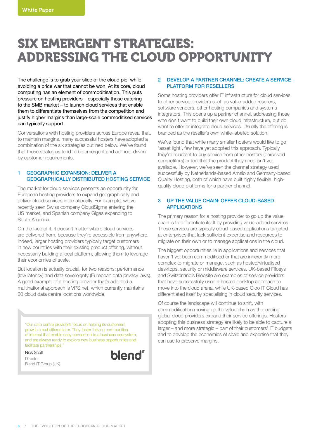### SIX EMERGENT STRATEGIES: ADDRESSING THE CLOUD OPPORTUNITY

The challenge is to grab your slice of the cloud pie, while avoiding a price war that cannot be won. At its core, cloud computing has an element of commoditisation. This puts pressure on hosting providers – especially those catering to the SMB market – to launch cloud services that enable them to differentiate themselves from the competition and justify higher margins than large-scale commoditised services can typically support.

Conversations with hosting providers across Europe reveal that, to maintain margins, many successful hosters have adopted a combination of the six strategies outlined below. We've found that these strategies tend to be emergent and ad-hoc, driven by customer requirements.

#### 1 GEOGRAPHIC EXPANSION: DELIVER A GEOGRAPHICALLY DISTRIBUTED HOSTING SERVICE

The market for cloud services presents an opportunity for European hosting providers to expand geographically and deliver cloud services internationally. For example, we've recently seen Swiss company CloudSigma entering the US market, and Spanish company Gigas expanding to South America.

On the face of it, it doesn't matter where cloud services are delivered from, because they're accessible from anywhere. Indeed, larger hosting providers typically target customers in new countries with their existing product offering, without necessarily building a local platform, allowing them to leverage their economies of scale.

But location is actually crucial, for two reasons: performance (low latency) and data sovereignty (European data privacy laws). A good example of a hosting provider that's adopted a multinational approach is VPS.net, which currently maintains 20 cloud data centre locations worldwide.

"Our data centre provider's focus on helping its customers grow is a real differentiator. They foster thriving communities of interest that enable easy connection to a business ecosystem, and are always ready to explore new business opportunities and facilitate partnerships."

Nick Scott Director Blend IT Group (UK)



#### 2 DEVELOP A PARTNER CHANNEL: CREATE A SERVICE PLATFORM FOR RESELLERS

Some hosting providers offer IT infrastructure for cloud services to other service providers such as value-added resellers, software vendors, other hosting companies and systems integrators. This opens up a partner channel, addressing those who don't want to build their own cloud infrastructure, but do want to offer or integrate cloud services. Usually the offering is branded as the reseller's own white-labelled solution.

We've found that while many smaller hosters would like to go 'asset light', few have yet adopted this approach. Typically they're reluctant to buy service from other hosters (perceived competitors) or feel that the product they need isn't yet available. However, we've seen the channel strategy used successfully by Netherlands-based Amsio and Germany-based Quality Hosting, both of which have built highly flexible, highquality cloud platforms for a partner channel.

#### 3 UP THE VALUE CHAIN: OFFER CLOUD-BASED APPLICATIONS

The primary reason for a hosting provider to go up the value chain is to differentiate itself by providing value-added services. These services are typically cloud-based applications targeted at enterprises that lack sufficient expertise and resources to migrate on their own or to manage applications in the cloud.

The biggest opportunities lie in applications and services that haven't yet been commoditised or that are inherently more complex to migrate or manage, such as hosted/virtualised desktops, security or middleware services. UK-based Fifosys and Switzerland's Bloosite are examples of service providers that have successfully used a hosted desktop approach to move into the cloud arena, while UK-based Gloo IT Cloud has differentiated itself by specialising in cloud security services.

Of course the landscape will continue to shift, with commoditisation moving up the value chain as the leading global cloud providers expand their service offerings. Hosters adopting this business strategy are likely to be able to capture a larger – and more strategic – part of their customers' IT budgets and to develop the economies of scale and expertise that they can use to preserve margins.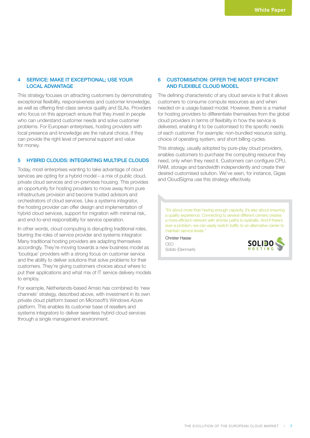#### 4 SERVICE: MAKE IT EXCEPTIONAL; USE YOUR LOCAL ADVANTAGE

This strategy focuses on attracting customers by demonstrating exceptional flexibility, responsiveness and customer knowledge, as well as offering first-class service quality and SLAs. Providers who focus on this approach ensure that they invest in people who can understand customer needs and solve customer problems. For European enterprises, hosting providers with local presence and knowledge are the natural choice, if they can provide the right level of personal support and value for money.

#### 5 HYBRID CLOUDS: INTEGRATING MULTIPLE CLOUDS

Today, most enterprises wanting to take advantage of cloud services are opting for a hybrid model – a mix of public cloud, private cloud services and on-premises housing. This provides an opportunity for hosting providers to move away from pure infrastructure provision and become trusted advisors and orchestrators of cloud services. Like a systems integrator, the hosting provider can offer design and implementation of hybrid cloud services, support for migration with minimal risk, and end-to-end responsibility for service operation.

In other words, cloud computing is disrupting traditional roles, blurring the roles of service provider and systems integrator. Many traditional hosting providers are adapting themselves accordingly. They're moving towards a new business model as 'boutique' providers with a strong focus on customer service and the ability to deliver solutions that solve problems for their customers. They're giving customers choices about where to put their applications and what mix of IT service delivery models to employ.

For example, Netherlands-based Amsio has combined its 'new channels' strategy, described above, with investment in its own private cloud platform based on Microsoft's Windows Azure platform. This enables its customer base of resellers and systems integrators to deliver seamless hybrid cloud services through a single management environment.

#### 6 CUSTOMISATION: OFFER THE MOST EFFICIENT AND FLEXIBLE CLOUD MODEL

The defining characteristic of any cloud service is that it allows customers to consume compute resources as and when needed on a usage-based model. However, there is a market for hosting providers to differentiate themselves from the global cloud providers in terms of flexibility in how the service is delivered, enabling it to be customised to the specific needs of each customer. For example: non-bundled resource sizing, choice of operating system, and short billing cycles.

This strategy, usually adopted by pure-play cloud providers, enables customers to purchase the computing resource they need, only when they need it. Customers can configure CPU, RAM, storage and bandwidth independently and create their desired customised solution. We've seen, for instance, Gigas and CloudSigma use this strategy effectively.

"It's about more than having enough capacity, it's also about ensuring a quality experience. Connecting to several different carriers creates a more efficient network with shorter paths to eyeballs. And if there's ever a problem, we can easily switch traffic to an alternative carrier to maintain service levels."

Christer Hasse CEO Solido (Denmark)

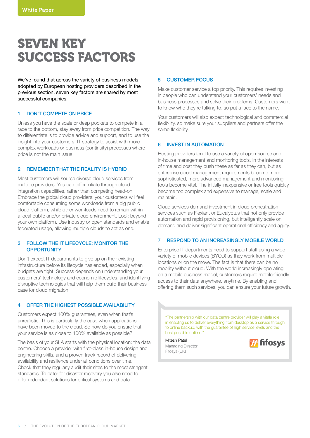### SEVEN KEY SUCCESS FACTORS

We've found that across the variety of business models adopted by European hosting providers described in the previous section, seven key factors are shared by most successful companies:

#### 1 DON'T COMPETE ON PRICE

Unless you have the scale or deep pockets to compete in a race to the bottom, stay away from price competition. The way to differentiate is to provide advice and support, and to use the insight into your customers' IT strategy to assist with more complex workloads or business (continuity) processes where price is not the main issue.

#### 2 REMEMBER THAT THE REALITY IS HYBRID

Most customers will source diverse cloud services from multiple providers. You can differentiate through cloud integration capabilities, rather than competing head-on. Embrace the global cloud providers; your customers will feel comfortable consuming some workloads from a big public cloud platform, while other workloads need to remain within a local public and/or private cloud environment. Look beyond your own platform. Use industry or open standards and enable federated usage, allowing multiple clouds to act as one.

#### 3 FOLLOW THE IT LIFECYCLE; MONITOR THE **OPPORTUNITY**

Don't expect IT departments to give up on their existing infrastructure before its lifecycle has ended, especially when budgets are tight. Success depends on understanding your customers' technology and economic lifecycles, and identifying disruptive technologies that will help them build their business case for cloud migration.

#### 4 OFFER THE HIGHEST POSSIBLE AVAILABILITY

Customers expect 100% guarantees, even when that's unrealistic. This is particularly the case when applications have been moved to the cloud. So how do you ensure that your service is as close to 100% available as possible?

The basis of your SLA starts with the physical location: the data centre. Choose a provider with first-class in-house design and engineering skills, and a proven track record of delivering availability and resilience under all conditions over time. Check that they regularly audit their sites to the most stringent standards. To cater for disaster recovery you also need to offer redundant solutions for critical systems and data.

#### 5 CUSTOMER FOCUS

Make customer service a top priority. This requires investing in people who can understand your customers' needs and business processes and solve their problems. Customers want to know who they're talking to, so put a face to the name.

Your customers will also expect technological and commercial flexibility, so make sure your suppliers and partners offer the same flexibility.

#### 6 INVEST IN AUTOMATION

Hosting providers tend to use a variety of open-source and in-house management and monitoring tools. In the interests of time and cost they push these as far as they can, but as enterprise cloud management requirements become more sophisticated, more advanced management and monitoring tools become vital. The initially inexpensive or free tools quickly become too complex and expensive to manage, scale and maintain.

Cloud services demand investment in cloud orchestration services such as Flexiant or Eucalyptus that not only provide automation and rapid provisioning, but intelligently scale on demand and deliver significant operational efficiency and agility.

#### 7 RESPOND TO AN INCREASINGLY MOBILE WORLD

Enterprise IT departments need to support staff using a wide variety of mobile devices (BYOD) as they work from multiple locations or on the move. The fact is that there can be no mobility without cloud. With the world increasingly operating on a mobile business model, customers require mobile-friendly access to their data anywhere, anytime. By enabling and offering them such services, you can ensure your future growth.

"The partnership with our data centre provider will play a vitale role in enabling us to deliver everything from desktop as a service through to online backup, with the guarantee of high service levels and the best possible uptime."

Mitesh Patel Managing Director Fifosys (UK)

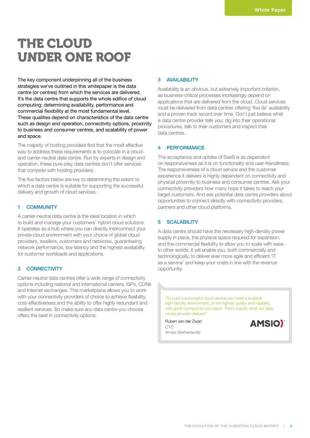### THE CLOUD UNDER ONE ROOF

The key component underpinning all of the business strategies we've outlined in this whitepaper is the data centre (or centres) from which the services are delivered. It's the data centre that supports the whole edifice of cloud computing: determining availability, performance and commercial flexibility at the most fundamental level. These qualities depend on characteristics of the data centre such as design and operation, connectivity options, proximity to business and consumer centres, and scalability of power and space.

The majority of hosting providers find that the most effective way to address these requirements is to colocate in a cloudand carrier-neutral data centre. Run by experts in design and operation, these pure-play data centres don't offer services that compete with hosting providers.

The five factors below are key to determining the extent to which a data centre is suitable for supporting the successful delivery and growth of cloud services.

#### 1 COMMUNITY

A carrier-neutral data centre is the ideal location in which to build and manage your customers' hybrid cloud solutions. It operates as a hub where you can directly interconnect your private cloud environment with your choice of global cloud providers, resellers, customers and networks, guaranteeing network performance, low latency and the highest availability for customer workloads and applications.

#### 2 CONNECTIVITY

Carrier-neutral data centres offer a wide range of connectivity options including national and international carriers, ISPs, CDNs and Internet exchanges. This marketplace allows you to work with your connectivity providers of choice to achieve flexibility. cost-effectiveness and the ability to offer highly redundant and resilient services. So make sure any data centre you choose offers the best in connectivity options.

#### 3 AVAILABILITY

Availability is an obvious, but extremely important criterion, as business-critical processes increasingly depend on applications that are delivered from the cloud. Cloud services must be delivered from data centres offering 'five 9s' availability and a proven track record over time. Don't just believe what a data centre provider tells you; dig into their operational procedures, talk to their customers and inspect their data centres.

#### 4 PERFORMANCE

The acceptance and uptake of SaaS is as dependent on responsiveness as it is on functionality and user-friendliness. The responsiveness of a cloud service and the customer experience it delivers is highly dependent on connectivity and physical proximity to business and consumer centres. Ask your connectivity providers how many hops it takes to reach your target customers. And ask potential data centre providers about opportunities to connect directly with connectivity providers, partners and other cloud platforms.

#### 5 SCALABILITY

A data centre should have the necessary high-density power supply in place, the physical space required for expansion, and the commercial flexibility to allow you to scale with ease. In other words, it will enable you, both commercially and technologically, to deliver ever more agile and efficient 'IT as a service' and keep your costs in line with the revenue opportunity.

"To build a successful cloud service you need a scalable high-density environment, of the highest quality and reliability, with great connectivity and reach. That's exactly what our data centre provider delivers"

Ruben van der Zwan CTO Amsio (Netherlands)

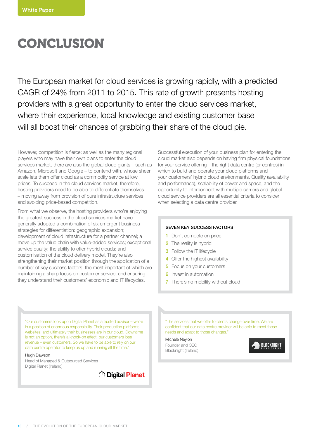### **CONCLUSION**

The European market for cloud services is growing rapidly, with a predicted CAGR of 24% from 2011 to 2015. This rate of growth presents hosting providers with a great opportunity to enter the cloud services market, where their experience, local knowledge and existing customer base will all boost their chances of grabbing their share of the cloud pie.

However, competition is fierce: as well as the many regional players who may have their own plans to enter the cloud services market, there are also the global cloud giants – such as Amazon, Microsoft and Google – to contend with, whose sheer scale lets them offer cloud as a commodity service at low prices. To succeed in the cloud services market, therefore, hosting providers need to be able to differentiate themselves – moving away from provision of pure infrastructure services and avoiding price-based competition.

From what we observe, the hosting providers who're enjoying the greatest success in the cloud services market have generally adopted a combination of six emergent business strategies for differentiation: geographic expansion; development of cloud infrastructure for a partner channel; a move up the value chain with value-added services; exceptional service quality; the ability to offer hybrid clouds; and customisation of the cloud delivery model. They're also strengthening their market position through the application of a number of key success factors, the most important of which are maintaining a sharp focus on customer service, and ensuring they understand their customers' economic and IT lifecycles.

Successful execution of your business plan for entering the cloud market also depends on having firm physical foundations for your service offering – the right data centre (or centres) in which to build and operate your cloud platforms and your customers' hybrid cloud environments. Quality (availability and performance), scalability of power and space, and the opportunity to interconnect with multiple carriers and global cloud service providers are all essential criteria to consider when selecting a data centre provider.

#### SEVEN KEY SUCCESS FACTORS

- 1 Don't compete on price
- 2 The reality is hybrid
- **3** Follow the IT lifecycle
- 4 Offer the highest availability
- **5** Focus on your customers
- **6** Invest in automation
- **7** There's no mobility without cloud

"Our customers look upon Digital Planet as a trusted advisor – we're in a position of enormous responsibility. Their production platforms, websites, and ultimately their businesses are in our cloud. Downtime is not an option, there's a knock-on effect: our customers lose revenue – even customers. So we have to be able to rely on our data centre operator to keep us up and running all the time."

#### Hugh Dawson

Head of Managed & Outsourced Services Digital Planet (Ireland)



"The services that we offer to clients change over time. We are confident that our data centre provider will be able to meet those needs and adapt to those changes."

Michele Neylon Founder and CEO Blacknight (Ireland)

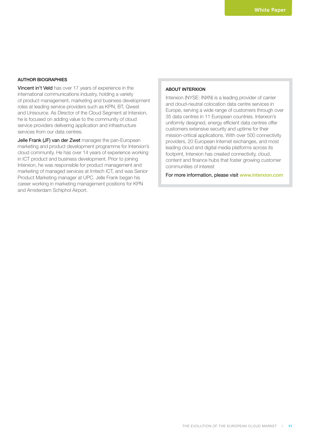#### AUTHOR BIOGRAPHIES

Vincent in't Veld has over 17 years of experience in the international communications industry, holding a variety of product management, marketing and business development roles at leading service providers such as KPN, BT, Qwest and Unisource. As Director of the Cloud Segment at Interxion, he is focused on adding value to the community of cloud service providers delivering application and infrastructure services from our data centres.

Jelle Frank (JF) van der Zwet manages the pan-European marketing and product development programme for Interxion's cloud community. He has over 14 years of experience working in ICT product and business development. Prior to joining Interxion, he was responsible for product management and marketing of managed services at Imtech ICT, and was Senior Product Marketing manager at UPC. Jelle Frank began his career working in marketing management positions for KPN and Amsterdam Schiphol Airport.

#### ABOUT INTERXION

Interxion (NYSE: INXN) is a leading provider of carrier and cloud-neutral colocation data centre services in Europe, serving a wide range of customers through over 35 data centres in 11 European countries. Interxion's uniformly designed, energy efficient data centres offer customers extensive security and uptime for their mission-critical applications. With over 500 connectivity providers, 20 European Internet exchanges, and most leading cloud and digital media platforms across its footprint, Interxion has created connectivity, cloud, content and finance hubs that foster growing customer communities of interest

For more information, please visit www.interxion.com